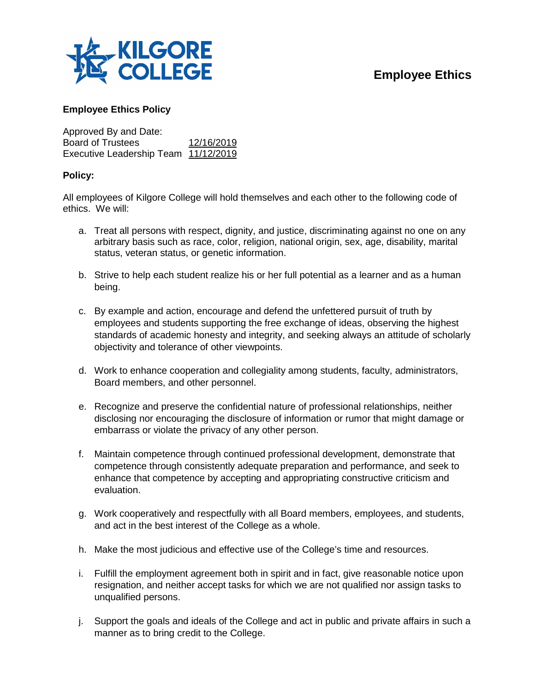

## **Employee Ethics**

## **Employee Ethics Policy**

Approved By and Date: Board of Trustees 12/16/2019 Executive Leadership Team 11/12/2019

## **Policy:**

All employees of Kilgore College will hold themselves and each other to the following code of ethics. We will:

- a. Treat all persons with respect, dignity, and justice, discriminating against no one on any arbitrary basis such as race, color, religion, national origin, sex, age, disability, marital status, veteran status, or genetic information.
- b. Strive to help each student realize his or her full potential as a learner and as a human being.
- c. By example and action, encourage and defend the unfettered pursuit of truth by employees and students supporting the free exchange of ideas, observing the highest standards of academic honesty and integrity, and seeking always an attitude of scholarly objectivity and tolerance of other viewpoints.
- d. Work to enhance cooperation and collegiality among students, faculty, administrators, Board members, and other personnel.
- e. Recognize and preserve the confidential nature of professional relationships, neither disclosing nor encouraging the disclosure of information or rumor that might damage or embarrass or violate the privacy of any other person.
- f. Maintain competence through continued professional development, demonstrate that competence through consistently adequate preparation and performance, and seek to enhance that competence by accepting and appropriating constructive criticism and evaluation.
- g. Work cooperatively and respectfully with all Board members, employees, and students, and act in the best interest of the College as a whole.
- h. Make the most judicious and effective use of the College's time and resources.
- i. Fulfill the employment agreement both in spirit and in fact, give reasonable notice upon resignation, and neither accept tasks for which we are not qualified nor assign tasks to unqualified persons.
- j. Support the goals and ideals of the College and act in public and private affairs in such a manner as to bring credit to the College.